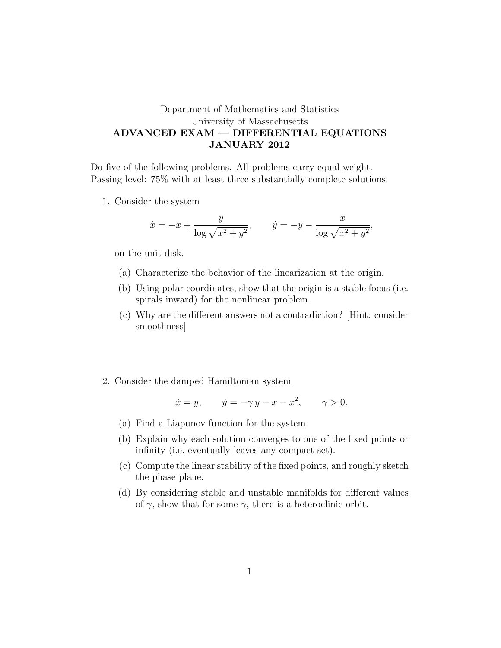## Department of Mathematics and Statistics University of Massachusetts ADVANCED EXAM — DIFFERENTIAL EQUATIONS JANUARY 2012

Do five of the following problems. All problems carry equal weight. Passing level: 75% with at least three substantially complete solutions.

1. Consider the system

$$
\dot{x} = -x + \frac{y}{\log \sqrt{x^2 + y^2}},
$$
  $\dot{y} = -y - \frac{x}{\log \sqrt{x^2 + y^2}},$ 

on the unit disk.

- (a) Characterize the behavior of the linearization at the origin.
- (b) Using polar coordinates, show that the origin is a stable focus (i.e. spirals inward) for the nonlinear problem.
- (c) Why are the different answers not a contradiction? [Hint: consider smoothness]
- 2. Consider the damped Hamiltonian system

$$
\dot{x} = y, \qquad \dot{y} = -\gamma y - x - x^2, \qquad \gamma > 0.
$$

- (a) Find a Liapunov function for the system.
- (b) Explain why each solution converges to one of the fixed points or infinity (i.e. eventually leaves any compact set).
- (c) Compute the linear stability of the fixed points, and roughly sketch the phase plane.
- (d) By considering stable and unstable manifolds for different values of  $\gamma$ , show that for some  $\gamma$ , there is a heteroclinic orbit.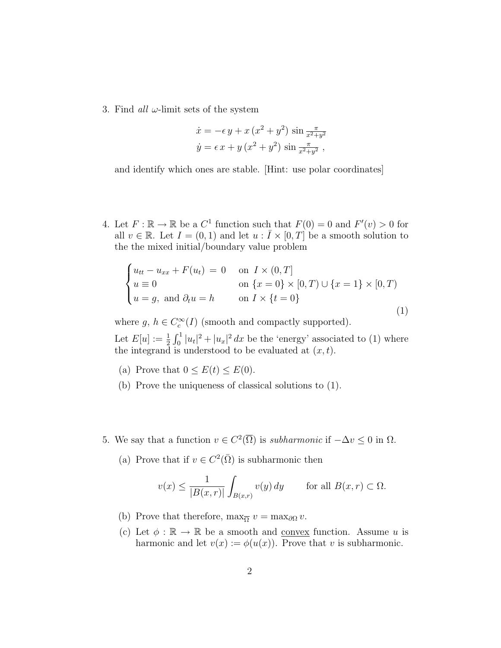3. Find all  $\omega$ -limit sets of the system

$$
\dot{x} = -\epsilon y + x (x^{2} + y^{2}) \sin \frac{\pi}{x^{2} + y^{2}}
$$
  

$$
\dot{y} = \epsilon x + y (x^{2} + y^{2}) \sin \frac{\pi}{x^{2} + y^{2}},
$$

and identify which ones are stable. [Hint: use polar coordinates]

4. Let  $F : \mathbb{R} \to \mathbb{R}$  be a  $C^1$  function such that  $F(0) = 0$  and  $F'(v) > 0$  for all  $v \in \mathbb{R}$ . Let  $I = (0, 1)$  and let  $u : \overline{I} \times [0, T]$  be a smooth solution to the the mixed initial/boundary value problem

$$
\begin{cases}\nu_{tt} - u_{xx} + F(u_t) = 0 & \text{on } I \times (0, T] \\
u \equiv 0 & \text{on } \{x = 0\} \times [0, T) \cup \{x = 1\} \times [0, T) \\
u = g, \text{ and } \partial_t u = h & \text{on } I \times \{t = 0\}\n\end{cases}
$$
\n(1)

where  $g, h \in C_c^{\infty}(I)$  (smooth and compactly supported).

Let  $E[u] := \frac{1}{2} \int_0^1 |u_t|^2 + |u_x|^2 dx$  be the 'energy' associated to (1) where the integrand is understood to be evaluated at  $(x, t)$ .

- (a) Prove that  $0 \leq E(t) \leq E(0)$ .
- (b) Prove the uniqueness of classical solutions to (1).
- 5. We say that a function  $v \in C^2(\overline{\Omega})$  is *subharmonic* if  $-\Delta v \leq 0$  in  $\Omega$ .
	- (a) Prove that if  $v \in C^2(\overline{\Omega})$  is subharmonic then

$$
v(x) \le \frac{1}{|B(x,r)|} \int_{B(x,r)} v(y) \, dy \qquad \text{for all } B(x,r) \subset \Omega.
$$

- (b) Prove that therefore,  $\max_{\overline{\Omega}} v = \max_{\partial \Omega} v$ .
- (c) Let  $\phi : \mathbb{R} \to \mathbb{R}$  be a smooth and convex function. Assume u is harmonic and let  $v(x) := \phi(u(x))$ . Prove that v is subharmonic.